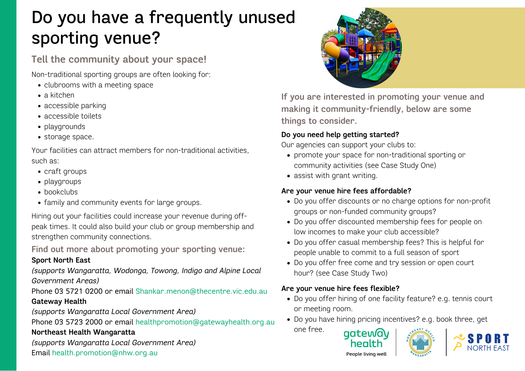# Do you have a frequently unused sporting venue?

# **Tell the community about your space!**

Non-traditional sporting groups are often looking for:

- clubrooms with a meeting space
- a kitchen
- accessible parking
- accessible toilets
- playgrounds
- storage space.

Your facilities can attract members for non-traditional activities, such as:

- craft groups
- playgroups
- bookclubs
- family and community events for large groups.

Hiring out your facilities could increase your revenue during offpeak times. It could also build your club or group membership and strengthen community connections.

**Find out more about promoting your sporting venue:**

#### **Sport North East**

*(supports Wangaratta, Wodonga, Towong, Indigo and Alpine Local Government Areas)*

Phone 03 5721 0200 or email [Shankar.menon@thecentre.vic.edu.au](mailto:Shankar.menon@thecentre.vic.edu.au) **Gateway Health**

*(supports Wangaratta Local Government Area)*

Phone 03 5723 2000 or email [healthpromotion@gatewayhealth.org.au](mailto:healthpromotion@gatewayhealth.org.au)

#### **Northeast Health Wangaratta**

*(supports Wangaratta Local Government Area)* Email [health.promotion@nhw.org.au](mailto:health.promotion@nhw.org.au)



**If you are interested in promoting your venue and making it community-friendly, below are some things to consider.**

## **Do you need help getting started?**

Our agencies can support your clubs to:

- promote your space for non-traditional sporting or community activities (see Case Study One)
- assist with grant writing.

## **Are your venue hire fees affordable?**

- Do you offer discounts or no charge options for non-profit groups or non-funded community groups?
- Do you offer discounted membership fees for people on low incomes to make your club accessible?
- Do you offer casual membership fees? This is helpful for people unable to commit to a full season of sport
- Do you offer free come and try session or open court hour? (see Case Study Two)

#### **Are your venue hire fees flexible?**

- Do you offer hiring of one facility feature? e.g. tennis court or meeting room.
- Do you have hiring pricing incentives? e.g. book three, get one free. aateway





People living well